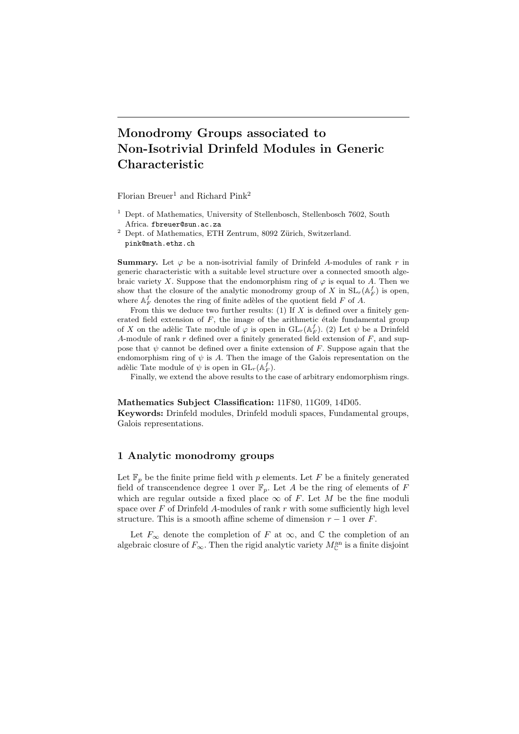# Monodromy Groups associated to Non-Isotrivial Drinfeld Modules in Generic Characteristic

Florian Breuer<sup>1</sup> and Richard Pink<sup>2</sup>

- $^1$  Dept. of Mathematics, University of Stellenbosch, Stellenbosch 7602, South Africa. fbreuer@sun.ac.za
- $^2$  Dept. of Mathematics, ETH Zentrum, 8092 Zürich, Switzerland. pink@math.ethz.ch

**Summary.** Let  $\varphi$  be a non-isotrivial family of Drinfeld A-modules of rank r in generic characteristic with a suitable level structure over a connected smooth algebraic variety X. Suppose that the endomorphism ring of  $\varphi$  is equal to A. Then we show that the closure of the analytic monodromy group of X in  $SL_r(\mathbb{A}_F^f)$  is open, where  $\mathbb{A}_F^f$  denotes the ring of finite adèles of the quotient field  $F$  of  $A$ .

From this we deduce two further results:  $(1)$  If X is defined over a finitely generated field extension of  $F$ , the image of the arithmetic étale fundamental group of X on the adèlic Tate module of  $\varphi$  is open in  $\mathrm{GL}_r(\mathbb{A}_F^f)$ . (2) Let  $\psi$  be a Drinfeld A-module of rank  $r$  defined over a finitely generated field extension of  $F$ , and suppose that  $\psi$  cannot be defined over a finite extension of F. Suppose again that the endomorphism ring of  $\psi$  is A. Then the image of the Galois representation on the adèlic Tate module of  $\psi$  is open in  $\mathrm{GL}_r(\mathbb{A}_F^f)$ .

Finally, we extend the above results to the case of arbitrary endomorphism rings.

#### Mathematics Subject Classification: 11F80, 11G09, 14D05.

Keywords: Drinfeld modules, Drinfeld moduli spaces, Fundamental groups, Galois representations.

## 1 Analytic monodromy groups

Let  $\mathbb{F}_p$  be the finite prime field with p elements. Let F be a finitely generated field of transcendence degree 1 over  $\mathbb{F}_p$ . Let A be the ring of elements of F which are regular outside a fixed place  $\infty$  of F. Let M be the fine moduli space over  $F$  of Drinfeld A-modules of rank  $r$  with some sufficiently high level structure. This is a smooth affine scheme of dimension  $r - 1$  over F.

Let  $F_{\infty}$  denote the completion of F at  $\infty$ , and  $\mathbb C$  the completion of an algebraic closure of  $F_{\infty}$ . Then the rigid analytic variety  $M_{\mathbb{C}}^{an}$  is a finite disjoint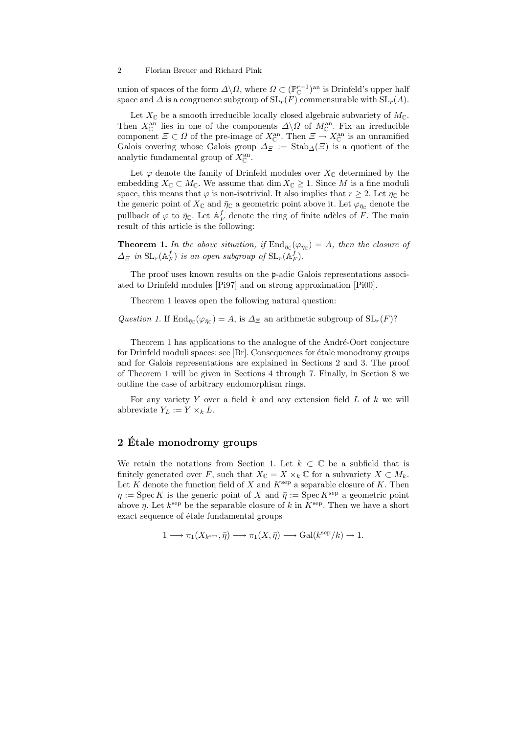#### 2 Florian Breuer and Richard Pink

union of spaces of the form  $\Delta \backslash \Omega$ , where  $\Omega \subset (\mathbb{P}_{\mathbb{C}}^{r-1})^{\text{an}}$  is Drinfeld's upper half space and  $\Delta$  is a congruence subgroup of  $SL_r(F)$  commensurable with  $SL_r(A)$ .

Let  $X_{\mathbb{C}}$  be a smooth irreducible locally closed algebraic subvariety of  $M_{\mathbb{C}}$ . Then  $X_{\mathbb{C}}^{an}$  lies in one of the components  $\Delta \backslash \Omega$  of  $M_{\mathbb{C}}^{an}$ . Fix an irreducible component  $\Xi \subset \Omega$  of the pre-image of  $X_{\mathbb{C}}^{\text{an}}$ . Then  $\Xi \to X_{\mathbb{C}}^{\text{an}}$  is an unramified Galois covering whose Galois group  $\Delta_{\Xi}$  := Stab<sub> $\Delta(\Xi)$ </sub> is a quotient of the analytic fundamental group of  $X_{\mathbb{C}}^{\text{an}}$ .

Let  $\varphi$  denote the family of Drinfeld modules over  $X_{\mathbb{C}}$  determined by the embedding  $X_{\mathbb{C}} \subset M_{\mathbb{C}}$ . We assume that  $\dim X_{\mathbb{C}} \geq 1$ . Since M is a fine moduli space, this means that  $\varphi$  is non-isotrivial. It also implies that  $r \geq 2$ . Let  $\eta_{\mathbb{C}}$  be the generic point of  $X_{\mathbb{C}}$  and  $\bar{\eta}_{\mathbb{C}}$  a geometric point above it. Let  $\varphi_{\bar{\eta}_{\mathbb{C}}}$  denote the pullback of  $\varphi$  to  $\bar{\eta}_\mathbb{C}$ . Let  $\mathbb{A}_F^f$  denote the ring of finite adèles of F. The main result of this article is the following:

**Theorem 1.** In the above situation, if  $\text{End}_{\bar{\eta}_{\mathbb{C}}}(\varphi_{\bar{\eta}_{\mathbb{C}}}) = A$ , then the closure of  $\Delta_{\Xi}$  in  $\text{SL}_r(\mathbb{A}_F^f)$  is an open subgroup of  $\text{SL}_r(\mathbb{A}_F^f)$ .

The proof uses known results on the p-adic Galois representations associated to Drinfeld modules [Pi97] and on strong approximation [Pi00].

Theorem 1 leaves open the following natural question:

Question 1. If  $\text{End}_{\bar{\eta}_\mathbb{C}}(\varphi_{\bar{\eta}_\mathbb{C}})=A$ , is  $\Delta_\mathbb{F}$  an arithmetic subgroup of  $\text{SL}_r(F)$ ?

Theorem 1 has applications to the analogue of the André-Oort conjecture for Drinfeld moduli spaces: see  $[Br]$ . Consequences for étale monodromy groups and for Galois representations are explained in Sections 2 and 3. The proof of Theorem 1 will be given in Sections 4 through 7. Finally, in Section 8 we outline the case of arbitrary endomorphism rings.

For any variety Y over a field  $k$  and any extension field  $L$  of  $k$  we will abbreviate  $Y_L := Y \times_k L$ .

# 2 Etale monodromy groups ´

We retain the notations from Section 1. Let  $k \subset \mathbb{C}$  be a subfield that is finitely generated over F, such that  $X_{\mathbb{C}} = X \times_k \mathbb{C}$  for a subvariety  $X \subset M_k$ . Let K denote the function field of X and  $K^{\text{sep}}$  a separable closure of K. Then  $\eta := \operatorname{Spec} K$  is the generic point of X and  $\overline{\eta} := \operatorname{Spec} K^{\operatorname{sep}}$  a geometric point above  $\eta$ . Let  $k^{\text{sep}}$  be the separable closure of k in  $K^{\text{sep}}$ . Then we have a short exact sequence of étale fundamental groups

$$
1 \longrightarrow \pi_1(X_{k^{\text{sep}}}, \bar{\eta}) \longrightarrow \pi_1(X, \bar{\eta}) \longrightarrow \text{Gal}(k^{\text{sep}}/k) \longrightarrow 1.
$$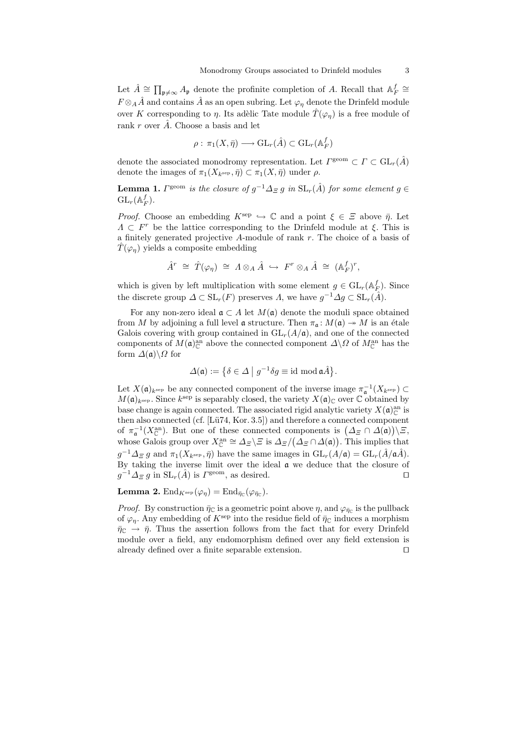Let  $\hat{A} \cong \prod_{\mathfrak{p} \neq \infty} A_{\mathfrak{p}}$  denote the profinite completion of A. Recall that  $A_F^f \cong$  $F \otimes_A \hat{A}$  and contains  $\hat{A}$  as an open subring. Let  $\varphi_n$  denote the Drinfeld module over K corresponding to  $\eta$ . Its adèlic Tate module  $\hat{T}(\varphi_n)$  is a free module of rank r over  $\hat{A}$ . Choose a basis and let

$$
\rho: \pi_1(X, \bar{\eta}) \longrightarrow \mathrm{GL}_r(\hat{A}) \subset \mathrm{GL}_r(\mathbb{A}_F^f)
$$

denote the associated monodromy representation. Let  $\varGamma^{\text{geom}} \subset \varGamma \subset \mathrm{GL}_r(\hat{A})$ denote the images of  $\pi_1(X_{k^{\text{sep}}}, \bar{\eta}) \subset \pi_1(X, \bar{\eta})$  under  $\rho$ .

**Lemma 1.**  $\Gamma^{\text{geom}}$  is the closure of  $g^{-1}\Delta_{\Xi} g$  in  $\text{SL}_r(\hat{A})$  for some element  $g \in$  $\mathrm{GL}_r(\mathbb{A}_F^f).$ 

*Proof.* Choose an embedding  $K^{\text{sep}} \hookrightarrow \mathbb{C}$  and a point  $\xi \in \Xi$  above  $\bar{\eta}$ . Let  $\Lambda \subset F^r$  be the lattice corresponding to the Drinfeld module at  $\xi$ . This is a finitely generated projective A-module of rank r. The choice of a basis of  $\hat{T}(\varphi_n)$  yields a composite embedding

$$
\hat{A}^r \cong \hat{T}(\varphi_\eta) \cong A \otimes_A \hat{A} \hookrightarrow F^r \otimes_A \hat{A} \cong (\mathbb{A}_F^f)^r,
$$

which is given by left multiplication with some element  $g \in GL_r(\mathbb{A}_F^f)$ . Since the discrete group  $\Delta \subset SL_r(F)$  preserves  $\Lambda$ , we have  $g^{-1} \Delta g \subset SL_r(\hat{A})$ .

For any non-zero ideal  $\mathfrak{a} \subset A$  let  $M(\mathfrak{a})$  denote the moduli space obtained from M by adjoining a full level **a** structure. Then  $\pi_a: M(\mathfrak{a}) \to M$  is an étale Galois covering with group contained in  $GL_r(A/\mathfrak{a})$ , and one of the connected components of  $M(\mathfrak{a})^{\text{an}}_{\mathbb{C}}$  above the connected component  $\Delta \backslash \Omega$  of  $M_{\mathbb{C}}^{\text{an}}$  has the form  $\Delta(\mathfrak{a})\backslash\Omega$  for

$$
\Delta(\mathfrak{a}) := \big\{ \delta \in \Delta \mid g^{-1} \delta g \equiv \text{id} \bmod \mathfrak{a} \hat{A} \big\}.
$$

Let  $X(\mathfrak{a})_{k^{\text{sep}}}$  be any connected component of the inverse image  $\pi_{\mathfrak{a}}^{-1}(X_{k^{\text{sep}}}) \subset$  $M(\mathfrak{a})_{k^{\text{sep}}}$ . Since  $k^{\text{sep}}$  is separably closed, the variety  $X(\mathfrak{a})_{\mathbb{C}}$  over  $\mathbb C$  obtained by base change is again connected. The associated rigid analytic variety  $X(\mathfrak{a})^{\text{an}}_{\mathbb{C}}$  is then also connected (cf.  $[Lü74, Kor. 3.5])$  and therefore a connected component of  $\pi_{\mathfrak{a}}^{-1}(X_{\mathbb{C}}^{\rm an})$ . But one of these connected components is  $(\Delta_{\Xi} \cap \Delta(\mathfrak{a}))\backslash \Xi$ , whose Galois group over  $X_{\mathbb{C}}^{\text{an}} \cong \Delta_{\Xi} \backslash \Xi$  is  $\Delta_{\Xi}/(\Delta_{\Xi} \cap \Delta(\mathfrak{a}))$ . This implies that  $g^{-1}\Delta_{\Xi} g$  and  $\pi_1(X_{k^{\text{sep}}}, \bar{\eta})$  have the same images in  $\mathrm{GL}_r(A/\mathfrak{a}) = \mathrm{GL}_r(\hat{A}/\mathfrak{a}\hat{A})$ . By taking the inverse limit over the ideal a we deduce that the closure of  $g^{-1}\Delta_{\Xi} g$  in  $SL_r(\hat{A})$  is  $\Gamma^{\text{geom}}$ , as desired.

## **Lemma 2.**  $\text{End}_{K^{\text{sep}}}(\varphi_{\eta}) = \text{End}_{\bar{\eta}_{\mathbb{C}}}(\varphi_{\bar{\eta}_{\mathbb{C}}}).$

*Proof.* By construction  $\bar{\eta}_C$  is a geometric point above  $\eta$ , and  $\varphi_{\bar{\eta}_C}$  is the pullback of  $\varphi_{\eta}$ . Any embedding of  $K^{\text{sep}}$  into the residue field of  $\bar{\eta}_{\mathbb{C}}$  induces a morphism  $\bar{\eta}_\mathbb{C} \to \bar{\eta}$ . Thus the assertion follows from the fact that for every Drinfeld module over a field, any endomorphism defined over any field extension is already defined over a finite separable extension.  $\Box$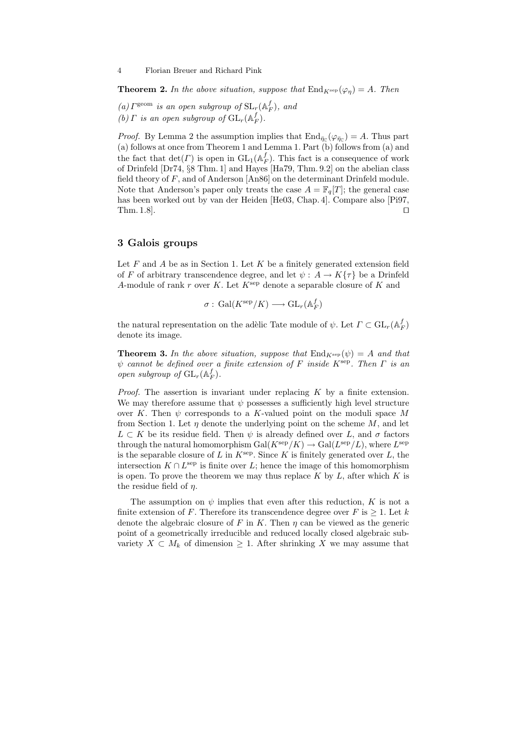**Theorem 2.** In the above situation, suppose that  $\text{End}_{K^{\text{sep}}}(\varphi_{\eta}) = A$ . Then

(a)  $\Gamma^{\text{geom}}$  is an open subgroup of  $\text{SL}_r(\mathbb{A}_F^f)$ , and

(b)  $\Gamma$  is an open subgroup of  $\mathrm{GL}_r(\mathbb{A}_F^f)$ .

*Proof.* By Lemma 2 the assumption implies that  $\text{End}_{\bar{\eta}_{\mathbb{C}}}(\varphi_{\bar{\eta}_{\mathbb{C}}}) = A$ . Thus part (a) follows at once from Theorem 1 and Lemma 1. Part (b) follows from (a) and the fact that  $\det(\Gamma)$  is open in  $GL_1(\mathbb{A}_F^f)$ . This fact is a consequence of work of Drinfeld [Dr74, §8 Thm. 1] and Hayes [Ha79, Thm. 9.2] on the abelian class field theory of  $F$ , and of Anderson [An86] on the determinant Drinfeld module. Note that Anderson's paper only treats the case  $A = \mathbb{F}_q[T]$ ; the general case has been worked out by van der Heiden [He03, Chap. 4]. Compare also [Pi97, Thm. 1.8].  $\square$ 

## 3 Galois groups

Let  $F$  and  $\overline{A}$  be as in Section 1. Let  $K$  be a finitely generated extension field of F of arbitrary transcendence degree, and let  $\psi: A \to K\{\tau\}$  be a Drinfeld A-module of rank r over K. Let  $K^{\text{sep}}$  denote a separable closure of K and

$$
\sigma : \, \mathrm{Gal}(K^{\mathrm{sep}}/K) \longrightarrow \mathrm{GL}_r(\mathbb{A}_F^f)
$$

the natural representation on the adèlic Tate module of  $\psi$ . Let  $\varGamma \subset \mathrm{GL}_r(\mathbb{A}_F^f)$ denote its image.

**Theorem 3.** In the above situation, suppose that  $\text{End}_{K^{\text{sep}}}(\psi) = A$  and that  $\psi$  cannot be defined over a finite extension of F inside K<sup>sep</sup>. Then  $\Gamma$  is an open subgroup of  $\mathrm{GL}_r(\mathbb{A}_F^f)$ .

*Proof.* The assertion is invariant under replacing  $K$  by a finite extension. We may therefore assume that  $\psi$  possesses a sufficiently high level structure over K. Then  $\psi$  corresponds to a K-valued point on the moduli space M from Section 1. Let  $\eta$  denote the underlying point on the scheme  $M$ , and let  $L \subset K$  be its residue field. Then  $\psi$  is already defined over L, and  $\sigma$  factors through the natural homomorphism  $Gal(K^{\text{sep}}/K) \to Gal(L^{\text{sep}}/L)$ , where  $L^{\text{sep}}$ is the separable closure of L in  $K^{\text{sep}}$ . Since K is finitely generated over L, the intersection  $K \cap L^{\text{sep}}$  is finite over L; hence the image of this homomorphism is open. To prove the theorem we may thus replace  $K$  by  $L$ , after which  $K$  is the residue field of  $\eta$ .

The assumption on  $\psi$  implies that even after this reduction, K is not a finite extension of F. Therefore its transcendence degree over F is  $\geq 1$ . Let k denote the algebraic closure of F in K. Then  $\eta$  can be viewed as the generic point of a geometrically irreducible and reduced locally closed algebraic subvariety  $X \subset M_k$  of dimension  $\geq 1$ . After shrinking X we may assume that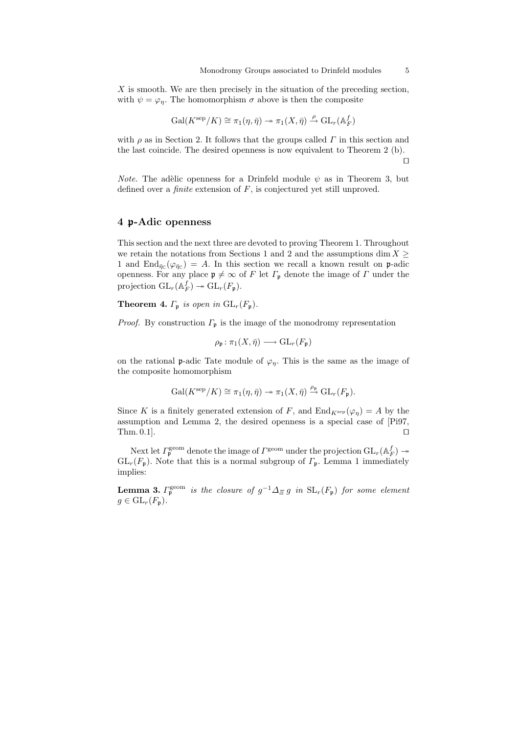$X$  is smooth. We are then precisely in the situation of the preceding section, with  $\psi = \varphi_n$ . The homomorphism  $\sigma$  above is then the composite

$$
\operatorname{Gal}(K^{\mathrm{sep}}/K) \cong \pi_1(\eta, \bar{\eta}) \twoheadrightarrow \pi_1(X, \bar{\eta}) \xrightarrow{\rho} \operatorname{GL}_r(\mathbb{A}_F^f)
$$

with  $\rho$  as in Section 2. It follows that the groups called  $\Gamma$  in this section and the last coincide. The desired openness is now equivalent to Theorem 2 (b).  $\Box$ 

*Note.* The adèlic openness for a Drinfeld module  $\psi$  as in Theorem 3, but defined over a *finite* extension of  $F$ , is conjectured yet still unproved.

## 4 p-Adic openness

This section and the next three are devoted to proving Theorem 1. Throughout we retain the notations from Sections 1 and 2 and the assumptions dim  $X \geq$ 1 and  $\text{End}_{\bar{\eta}_\mathbb{C}}(\varphi_{\bar{\eta}_\mathbb{C}})=A$ . In this section we recall a known result on p-adic openness. For any place  $\mathfrak{p} \neq \infty$  of F let  $\Gamma_{\mathfrak{p}}$  denote the image of  $\Gamma$  under the projection  $\mathrm{GL}_r(\mathbb{A}_F^f) \to \mathrm{GL}_r(F_{\mathfrak{p}}).$ 

**Theorem 4.**  $\Gamma_p$  is open in  $GL_r(F_p)$ .

*Proof.* By construction  $\Gamma_{\mathfrak{p}}$  is the image of the monodromy representation

$$
\rho_{\mathfrak{p}} \colon \pi_1(X, \bar{\eta}) \longrightarrow \operatorname{GL}_r(F_{\mathfrak{p}})
$$

on the rational p-adic Tate module of  $\varphi_n$ . This is the same as the image of the composite homomorphism

$$
\mathrm{Gal}(K^{\mathrm{sep}}/K) \cong \pi_1(\eta, \bar{\eta}) \twoheadrightarrow \pi_1(X, \bar{\eta}) \xrightarrow{\rho_{\mathfrak{p}}} \mathrm{GL}_r(F_{\mathfrak{p}}).
$$

Since K is a finitely generated extension of F, and  $\text{End}_{K^{\text{sep}}}(\varphi_{\eta}) = A$  by the assumption and Lemma 2, the desired openness is a special case of [Pi97, Thm. 0.1].  $\square$ 

Next let  $\Gamma_{\mathfrak{p}}^{\text{geom}}$  denote the image of  $\Gamma^{\text{geom}}$  under the projection  $\text{GL}_r(\mathbb{A}_F^f) \twoheadrightarrow$  $GL_r(F_p)$ . Note that this is a normal subgroup of  $\Gamma_p$ . Lemma 1 immediately implies:

**Lemma 3.**  $\Gamma_{\mathfrak{p}}^{\text{geom}}$  is the closure of  $g^{-1}\Delta_{\Xi} g$  in  $SL_r(F_{\mathfrak{p}})$  for some element  $g \in GL_r(F_{\mathfrak{p}}).$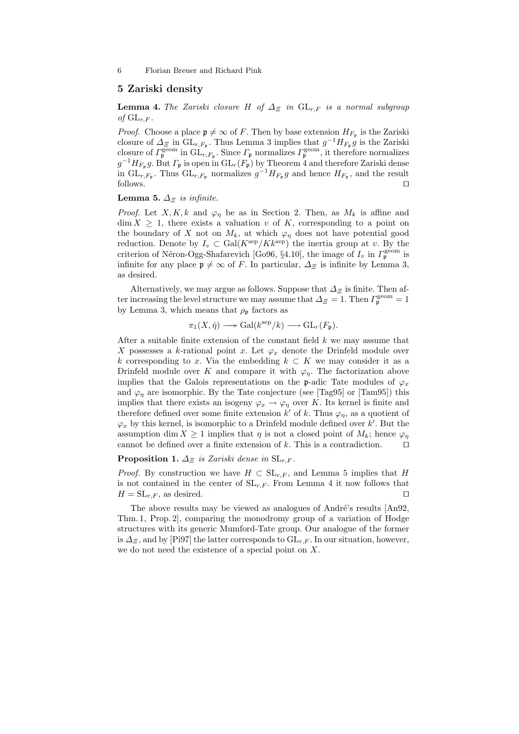6 Florian Breuer and Richard Pink

## 5 Zariski density

**Lemma 4.** The Zariski closure H of  $\Delta$ <sub>Ξ</sub> in  $GL_{r,F}$  is a normal subgroup of  $\operatorname{GL}_{r,F}$ .

*Proof.* Choose a place  $\mathfrak{p} \neq \infty$  of F. Then by base extension  $H_{F_{\mathfrak{p}}}$  is the Zariski closure of  $\Delta_{\Xi}$  in  $\mathrm{GL}_{r,F_{\mathfrak{p}}}$ . Thus Lemma 3 implies that  $g^{-1}H_{F_{\mathfrak{p}}}g$  is the Zariski closure of  $\Gamma_{\mathfrak{p}}^{\text{geom}}$  in  $\tilde{\mathrm{GL}}_{r,F_{\mathfrak{p}}}$ . Since  $\Gamma_{\mathfrak{p}}$  normalizes  $\Gamma_{\mathfrak{p}}^{\text{geom}}$ , it therefore normalizes  $g^{-1}H_{F_{\mathfrak{p}}}g$ . But  $\Gamma_{\mathfrak{p}}$  is open in  $\mathrm{GL}_r(F_{\mathfrak{p}})$  by Theorem 4 and therefore Zariski dense in  $\operatorname{GL}_{r,F_{\mathfrak{p}}}$ . Thus  $\operatorname{GL}_{r,F_{\mathfrak{p}}}$  normalizes  $g^{-1}H_{F_{\mathfrak{p}}}g$  and hence  $H_{F_{\mathfrak{p}}},$  and the result  $\Box$  follows.

# **Lemma 5.**  $\Delta$ <sub> $\Xi$ </sub> is infinite.

*Proof.* Let X, K, k and  $\varphi_n$  be as in Section 2. Then, as  $M_k$  is affine and  $\dim X \geq 1$ , there exists a valuation v of K, corresponding to a point on the boundary of X not on  $M_k$ , at which  $\varphi_n$  does not have potential good reduction. Denote by  $I_v \subset \text{Gal}(K^{\text{sep}}/Kk^{\text{sep}})$  the inertia group at v. By the criterion of Néron-Ogg-Shafarevich [Go96, §4.10], the image of  $I_v$  in  $\Gamma_{\mathfrak{p}}^{\text{geom}}$  is infinite for any place  $\mathfrak{p} \neq \infty$  of F. In particular,  $\Delta_{\Xi}$  is infinite by Lemma 3, as desired.

Alternatively, we may argue as follows. Suppose that  $\Delta_{\Xi}$  is finite. Then after increasing the level structure we may assume that  $\Delta_{\Xi} = 1$ . Then  $\Gamma_{\mathfrak{p}}^{\text{geom}} = 1$ by Lemma 3, which means that  $\rho_{\rm p}$  factors as

$$
\pi_1(X,\bar{\eta}) \longrightarrow \mathrm{Gal}(k^{\mathrm{sep}}/k) \longrightarrow \mathrm{GL}_r(F_{\mathfrak{p}}).
$$

After a suitable finite extension of the constant field  $k$  we may assume that X possesses a k-rational point x. Let  $\varphi_x$  denote the Drinfeld module over k corresponding to x. Via the embedding  $k \subset K$  we may consider it as a Drinfeld module over K and compare it with  $\varphi_{\eta}$ . The factorization above implies that the Galois representations on the p-adic Tate modules of  $\varphi_x$ and  $\varphi_{\eta}$  are isomorphic. By the Tate conjecture (see [Tag95] or [Tam95]) this implies that there exists an isogeny  $\varphi_x \to \varphi_\eta$  over K. Its kernel is finite and therefore defined over some finite extension  $k'$  of k. Thus  $\varphi_{\eta}$ , as a quotient of  $\varphi_x$  by this kernel, is isomorphic to a Drinfeld module defined over  $k'$ . But the assumption dim  $X \geq 1$  implies that  $\eta$  is not a closed point of  $M_k$ ; hence  $\varphi_n$ cannot be defined over a finite extension of k. This is a contradiction.  $\Box$ 

#### **Proposition 1.**  $\Delta$ <sub> $\Xi$ </sub> is Zariski dense in  $SL_{r,F}$ .

*Proof.* By construction we have  $H \subset SL_{r,F}$ , and Lemma 5 implies that H is not contained in the center of  $SL_{r,F}$ . From Lemma 4 it now follows that  $H = SL_{r,F}$ , as desired.

The above results may be viewed as analogues of André's results [An92, Thm. 1, Prop. 2], comparing the monodromy group of a variation of Hodge structures with its generic Mumford-Tate group. Our analogue of the former is  $\Delta$ <sub>Ξ</sub>, and by [Pi97] the latter corresponds to  $GL_{r,F}$ . In our situation, however, we do not need the existence of a special point on X.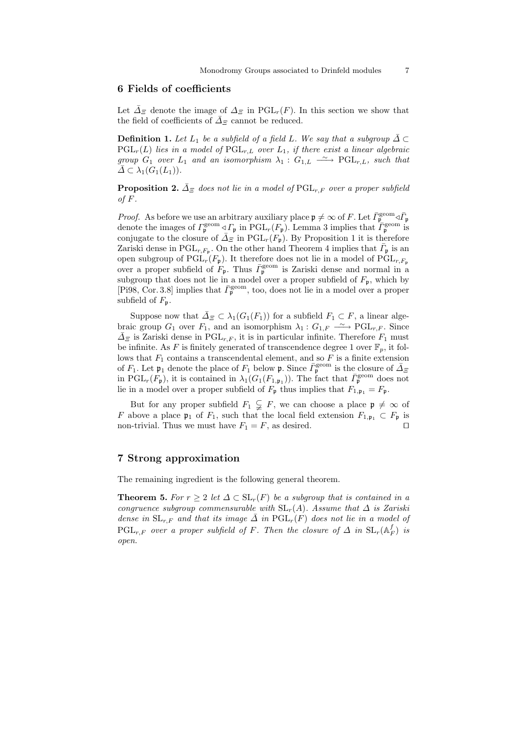## 6 Fields of coefficients

Let  $\bar{\Delta}_{\Xi}$  denote the image of  $\Delta_{\Xi}$  in PGL<sub>r</sub>(F). In this section we show that the field of coefficients of  $\bar{\varDelta}_\varXi$  cannot be reduced.

**Definition 1.** Let  $L_1$  be a subfield of a field L. We say that a subgroup  $\overline{\Delta} \subset$  $PGL_r(L)$  lies in a model of  $PGL_{r,L}$  over  $L_1$ , if there exist a linear algebraic group  $G_1$  over  $L_1$  and an isomorphism  $\lambda_1: G_{1,L} \longrightarrow \text{PGL}_{r,L}$ , such that  $\Delta \subset \lambda_1(G_1(L_1)).$ 

**Proposition 2.**  $\bar{\Delta}_{\bar{z}}$  does not lie in a model of PGL<sub>r,F</sub> over a proper subfield of  $F$ .

*Proof.* As before we use an arbitrary auxiliary place  $\mathfrak{p} \neq \infty$  of F. Let  $\bar{\Gamma}_{\mathfrak{p}}^{\text{geom}} \triangleleft \bar{\Gamma}_{\mathfrak{p}}$ denote the images of  $\Gamma_{\mathfrak{p}}^{\text{geom}} \triangleleft \Gamma_{\mathfrak{p}}$  in  $\mathrm{PGL}_r(F_{\mathfrak{p}})$ . Lemma 3 implies that  $\overline{\Gamma}_{\mathfrak{p}}^{\text{geom}}$  is conjugate to the closure of  $\bar{\Delta}_{\Xi}$  in PGL<sub>r</sub>( $F_p$ ). By Proposition 1 it is therefore Zariski dense in PGL<sub>r,  $F_p$ </sub>. On the other hand Theorem 4 implies that  $\bar{F}_p$  is an open subgroup of  $\mathrm{PGL}_r(F_{\mathfrak{p}})$ . It therefore does not lie in a model of  $\mathrm{PGL}_{r,F_{\mathfrak{p}}}$ over a proper subfield of  $F_p$ . Thus  $\bar{F}_p^{\text{geom}}$  is Zariski dense and normal in a subgroup that does not lie in a model over a proper subfield of  $F_p$ , which by [Pi98, Cor. 3.8] implies that  $\bar{F}_{p}^{geom}$ , too, does not lie in a model over a proper subfield of  $F_p$ .

Suppose now that  $\overline{\Delta}_{\Xi} \subset \lambda_1(G_1(F_1))$  for a subfield  $F_1 \subset F$ , a linear algebraic group  $G_1$  over  $F_1$ , and an isomorphism  $\lambda_1: G_{1,F} \longrightarrow \text{PGL}_{r,F}$ . Since  $\bar{\Delta}_{\bar{z}}$  is Zariski dense in PGL<sub>r,F</sub>, it is in particular infinite. Therefore  $F_1$  must be infinite. As F is finitely generated of transcendence degree 1 over  $\mathbb{F}_p$ , it follows that  $F_1$  contains a transcendental element, and so  $F$  is a finite extension of  $F_1$ . Let  $\mathfrak{p}_1$  denote the place of  $F_1$  below  $\mathfrak{p}$ . Since  $\bar{F}_{\mathfrak{p}}^{\text{geom}}$  is the closure of  $\bar{\Delta}_{\Xi}$ in PGL<sub>r</sub>( $F_{\mathfrak{p}}$ ), it is contained in  $\lambda_1(G_1(F_{1,\mathfrak{p}_1}))$ . The fact that  $\bar{\Gamma}_{\mathfrak{p}}^{\text{geom}}$  does not lie in a model over a proper subfield of  $F_{\mathfrak{p}}$  thus implies that  $F_{1,\mathfrak{p}_1} = F_{\mathfrak{p}}$ .

But for any proper subfield  $F_1 \subsetneq F$ , we can choose a place  $\mathfrak{p} \neq \infty$  of F above a place  $\mathfrak{p}_1$  of  $F_1$ , such that the local field extension  $F_{1,\mathfrak{p}_1} \subset F_{\mathfrak{p}}$  is non-trivial. Thus we must have  $F_1 = F$ , as desired.

## 7 Strong approximation

The remaining ingredient is the following general theorem.

**Theorem 5.** For  $r \geq 2$  let  $\Delta \subset SL_r(F)$  be a subgroup that is contained in a congruence subgroup commensurable with  $SL_r(A)$ . Assume that  $\Delta$  is Zariski dense in  $SL_{r,F}$  and that its image  $\overline{\Delta}$  in  $PGL_r(F)$  does not lie in a model of  $\operatorname{PGL}_{r,F}$  over a proper subfield of F. Then the closure of  $\Delta$  in  $\operatorname{SL}_r(\mathbb{A}_F^f)$  is open.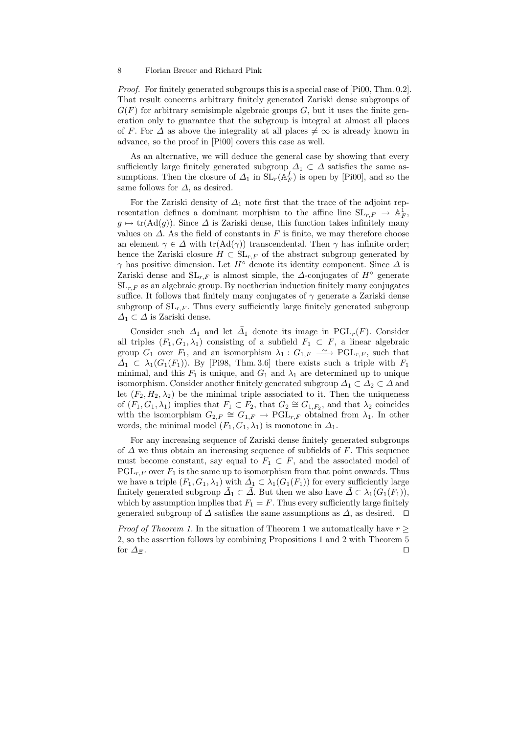#### 8 Florian Breuer and Richard Pink

Proof. For finitely generated subgroups this is a special case of [Pi00, Thm. 0.2]. That result concerns arbitrary finitely generated Zariski dense subgroups of  $G(F)$  for arbitrary semisimple algebraic groups G, but it uses the finite generation only to guarantee that the subgroup is integral at almost all places of F. For  $\Delta$  as above the integrality at all places  $\neq \infty$  is already known in advance, so the proof in [Pi00] covers this case as well.

As an alternative, we will deduce the general case by showing that every sufficiently large finitely generated subgroup  $\Delta_1 \subset \Delta$  satisfies the same assumptions. Then the closure of  $\Delta_1$  in  $SL_r(\mathbb{A}_F^f)$  is open by [Pi00], and so the same follows for  $\Delta$ , as desired.

For the Zariski density of  $\Delta_1$  note first that the trace of the adjoint representation defines a dominant morphism to the affine line  $SL_{r,F} \rightarrow \mathbb{A}_F^1$ ,  $g \mapsto \text{tr}(\text{Ad}(g))$ . Since  $\Delta$  is Zariski dense, this function takes infinitely many values on  $\Delta$ . As the field of constants in F is finite, we may therefore choose an element  $\gamma \in \Delta$  with tr(Ad( $\gamma$ )) transcendental. Then  $\gamma$  has infinite order; hence the Zariski closure  $H \subset SL_{r,F}$  of the abstract subgroup generated by  $\gamma$  has positive dimension. Let  $H^{\circ}$  denote its identity component. Since  $\Delta$  is Zariski dense and  $SL_{r,F}$  is almost simple, the  $\Delta$ -conjugates of  $H^{\circ}$  generate  $SL<sub>r,F</sub>$  as an algebraic group. By noetherian induction finitely many conjugates suffice. It follows that finitely many conjugates of  $\gamma$  generate a Zariski dense subgroup of  $SL_{r,F}$ . Thus every sufficiently large finitely generated subgroup  $\Delta_1 \subset \Delta$  is Zariski dense.

Consider such  $\Delta_1$  and let  $\bar{\Delta}_1$  denote its image in PGL<sub>r</sub>(F). Consider all triples  $(F_1, G_1, \lambda_1)$  consisting of a subfield  $F_1 \subset F$ , a linear algebraic group  $G_1$  over  $F_1$ , and an isomorphism  $\lambda_1: G_{1,F} \longrightarrow \text{PGL}_{r,F}$ , such that  $\overline{\Delta}_1 \subset \lambda_1(G_1(F_1))$ . By [Pi98, Thm. 3.6] there exists such a triple with  $F_1$ minimal, and this  $F_1$  is unique, and  $G_1$  and  $\lambda_1$  are determined up to unique isomorphism. Consider another finitely generated subgroup  $\Delta_1 \subset \Delta_2 \subset \Delta$  and let  $(F_2, H_2, \lambda_2)$  be the minimal triple associated to it. Then the uniqueness of  $(F_1, G_1, \lambda_1)$  implies that  $F_1 \subset F_2$ , that  $G_2 \cong G_{1,F_2}$ , and that  $\lambda_2$  coincides with the isomorphism  $G_{2,F} \cong G_{1,F} \to \text{PGL}_{r,F}$  obtained from  $\lambda_1$ . In other words, the minimal model  $(F_1, G_1, \lambda_1)$  is monotone in  $\Delta_1$ .

For any increasing sequence of Zariski dense finitely generated subgroups of  $\Delta$  we thus obtain an increasing sequence of subfields of F. This sequence must become constant, say equal to  $F_1 \subset F$ , and the associated model of  $PGL_{r,F}$  over  $F_1$  is the same up to isomorphism from that point onwards. Thus we have a triple  $(F_1, G_1, \lambda_1)$  with  $\overline{\Delta}_1 \subset \overline{\lambda_1}(G_1(F_1))$  for every sufficiently large finitely generated subgroup  $\bar{\Delta}_1 \subset \bar{\Delta}$ . But then we also have  $\bar{\Delta} \subset \lambda_1(G_1(F_1)),$ which by assumption implies that  $F_1 = F$ . Thus every sufficiently large finitely generated subgroup of  $\Delta$  satisfies the same assumptions as  $\Delta$ , as desired.  $\square$ 

*Proof of Theorem 1.* In the situation of Theorem 1 we automatically have  $r \geq$ 2, so the assertion follows by combining Propositions 1 and 2 with Theorem 5 for  $\Delta$ <sub>Ξ</sub>.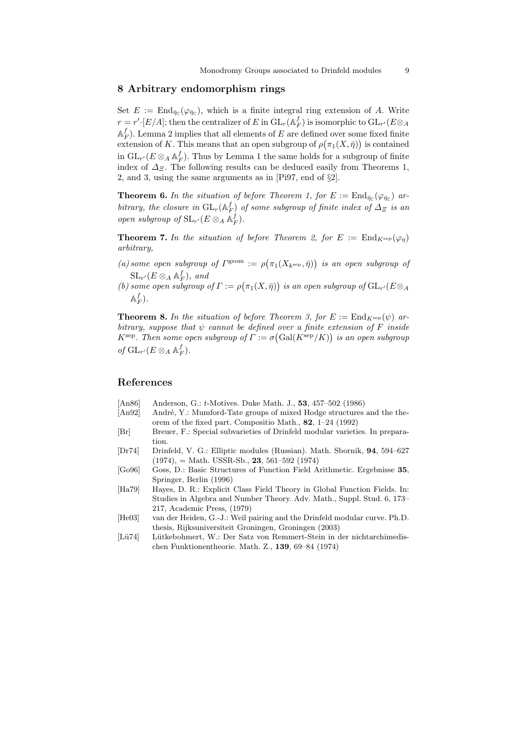## 8 Arbitrary endomorphism rings

Set  $E := \text{End}_{\bar{\eta}_\mathbb{C}}(\varphi_{\bar{\eta}_\mathbb{C}})$ , which is a finite integral ring extension of A. Write  $r = r' \cdot [E/A];$  then the centralizer of  $E$  in  $\mathrm{GL}_r(\mathbb{A}_F^f)$  is isomorphic to  $\mathrm{GL}_{r'}(E \otimes_A E)$  $\mathbb{A}_F^f$ ). Lemma 2 implies that all elements of E are defined over some fixed finite extension of K. This means that an open subgroup of  $\rho(\pi_1(X, \bar{\eta}))$  is contained in  ${\rm GL}_{r'}(E\otimes_A {\mathbb A}_F^f)$ . Thus by Lemma 1 the same holds for a subgroup of finite index of  $\Delta$ <sub>Ξ</sub>. The following results can be deduced easily from Theorems 1, 2, and 3, using the same arguments as in [Pi97, end of §2].

**Theorem 6.** In the situation of before Theorem 1, for  $E := \text{End}_{\bar{\eta}_C}(\varphi_{\bar{\eta}_C})$  arbitrary, the closure in  $\mathrm{GL}_r(\mathbb{A}_F^f)$  of some subgroup of finite index of  $\Delta_{\Xi}$  is an open subgroup of  $\operatorname{SL}_{r'}(E \otimes_A \mathbb{A}_F^f)$ .

**Theorem 7.** In the situation of before Theorem 2, for  $E := \text{End}_{K^{\text{sep}}}(\varphi_n)$ arbitrary,

- (a) some open subgroup of  $\Gamma^{\text{geom}} := \rho(\pi_1(X_{k^{\text{sep}}}, \bar{\eta}))$  is an open subgroup of  $\operatorname{SL}_{r'}(E \otimes_A \mathbb{A}_F^f)$ , and
- (b) some open subgroup of  $\Gamma := \rho(\pi_1(X, \bar{\eta}))$  is an open subgroup of  $GL_{r'}(E \otimes_A \bar{\eta})$  $\mathbb{A}_F^f$ ).

**Theorem 8.** In the situation of before Theorem 3, for  $E := \text{End}_{K^{\text{sep}}}(\psi)$  arbitrary, suppose that  $\psi$  cannot be defined over a finite extension of F inside  $K^{\text{sep}}$ . Then some open subgroup of  $\Gamma := \sigma(\text{Gal}(K^{\text{sep}}/K))$  is an open subgroup of  $\mathrm{GL}_{r'}(E \otimes_A \mathbb{A}_F^f)$ .

## References

- [An86] Anderson, G.: t-Motives. Duke Math. J., 53, 457–502 (1986)
- [An92] André, Y.: Mumford-Tate groups of mixed Hodge structures and the theorem of the fixed part. Compositio Math., 82, 1–24 (1992)
- [Br] Breuer, F.: Special subvarieties of Drinfeld modular varieties. In preparation.
- [Dr74] Drinfeld, V. G.: Elliptic modules (Russian). Math. Sbornik, 94, 594–627  $(1974)$ , = Math. USSR-Sb., **23**, 561–592 (1974)
- [Go96] Goss, D.: Basic Structures of Function Field Arithmetic. Ergebnisse 35, Springer, Berlin (1996)
- [Ha79] Hayes, D. R.: Explicit Class Field Theory in Global Function Fields. In: Studies in Algebra and Number Theory. Adv. Math., Suppl. Stud. 6, 173– 217, Academic Press, (1979)
- [He03] van der Heiden, G.-J.: Weil pairing and the Drinfeld modular curve. Ph.D. thesis, Rijksuniversiteit Groningen, Groningen (2003)
- [Lü74] Lütkebohmert, W.: Der Satz von Remmert-Stein in der nichtarchimedischen Funktionentheorie. Math. Z., 139, 69–84 (1974)